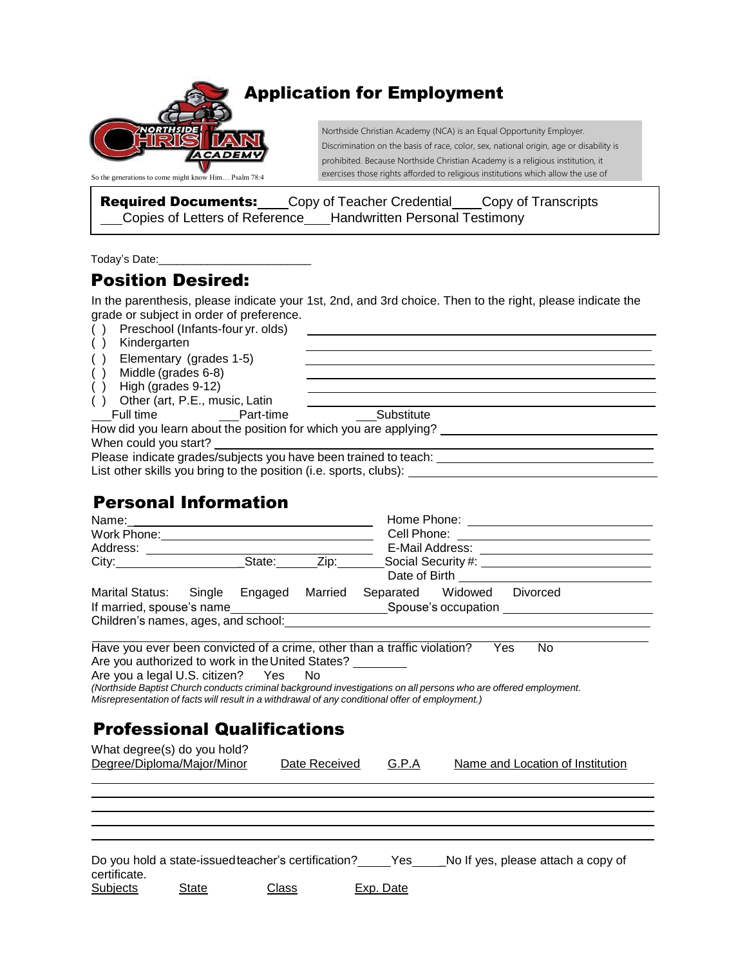

## Application for Employment

Northside Christian Academy (NCA) is an Equal Opportunity Employer. Discrimination on the basis of race, color, sex, national origin, age or disability is prohibited. Because Northside Christian Academy is a religious institution, it exercises those rights afforded to religious institutions which allow the use of

**Required Documents:** Copy of Teacher Credential Copy of Transcripts Copies of Letters of Reference Handwritten Personal Testimony

Today's Date:\_\_\_\_\_\_\_\_\_\_\_\_\_\_\_\_\_\_\_\_\_\_\_\_\_

## Position Desired:

In the parenthesis, please indicate your 1st, 2nd, and 3rd choice. Then to the right, please indicate the grade or subject in order of preference.

| -- |                                      |  |
|----|--------------------------------------|--|
|    | () Preschool (Infants-four yr. olds) |  |

( ) Kindergarten

( ) Elementary (grades 1-5)

- $\int$  Middle (grades 6-8)
- ( ) High (grades 9-12)
- ( ) Other (art, P.E., music, Latin

Full time **Part-time Substitute** 

How did you learn about the position for which you are applying? When could you start?

Please indicate grades/subjects you have been trained to teach: List other skills you bring to the position (i.e. sports, clubs):

# Personal Information

| Marital Status: Single Engaged Married Separated Widowed Divorced                               |              |               |                  |                                                                                                                  |  |  |
|-------------------------------------------------------------------------------------------------|--------------|---------------|------------------|------------------------------------------------------------------------------------------------------------------|--|--|
|                                                                                                 |              |               |                  |                                                                                                                  |  |  |
|                                                                                                 |              |               |                  |                                                                                                                  |  |  |
|                                                                                                 |              |               |                  |                                                                                                                  |  |  |
| Have you ever been convicted of a crime, other than a traffic violation? Yes                    |              |               |                  | <b>No</b>                                                                                                        |  |  |
| Are you authorized to work in the United States?                                                |              |               |                  |                                                                                                                  |  |  |
| Are you a legal U.S. citizen? Yes No                                                            |              |               |                  |                                                                                                                  |  |  |
|                                                                                                 |              |               |                  | (Northside Baptist Church conducts criminal background investigations on all persons who are offered employment. |  |  |
| Misrepresentation of facts will result in a withdrawal of any conditional offer of employment.) |              |               |                  |                                                                                                                  |  |  |
|                                                                                                 |              |               |                  |                                                                                                                  |  |  |
| <b>Professional Qualifications</b>                                                              |              |               |                  |                                                                                                                  |  |  |
| What degree(s) do you hold?                                                                     |              |               |                  |                                                                                                                  |  |  |
| Degree/Diploma/Major/Minor                                                                      |              | Date Received | G.P.A            | Name and Location of Institution                                                                                 |  |  |
|                                                                                                 |              |               |                  |                                                                                                                  |  |  |
|                                                                                                 |              |               |                  |                                                                                                                  |  |  |
|                                                                                                 |              |               |                  |                                                                                                                  |  |  |
|                                                                                                 |              |               |                  |                                                                                                                  |  |  |
|                                                                                                 |              |               |                  |                                                                                                                  |  |  |
|                                                                                                 |              |               |                  |                                                                                                                  |  |  |
|                                                                                                 |              |               |                  | Do you hold a state-issued teacher's certification? ______Yes_____No If yes, please attach a copy of             |  |  |
| certificate.                                                                                    |              |               |                  |                                                                                                                  |  |  |
| <u>Subjects</u><br><b>State</b>                                                                 | <u>Class</u> |               | <b>Exp. Date</b> |                                                                                                                  |  |  |
|                                                                                                 |              |               |                  |                                                                                                                  |  |  |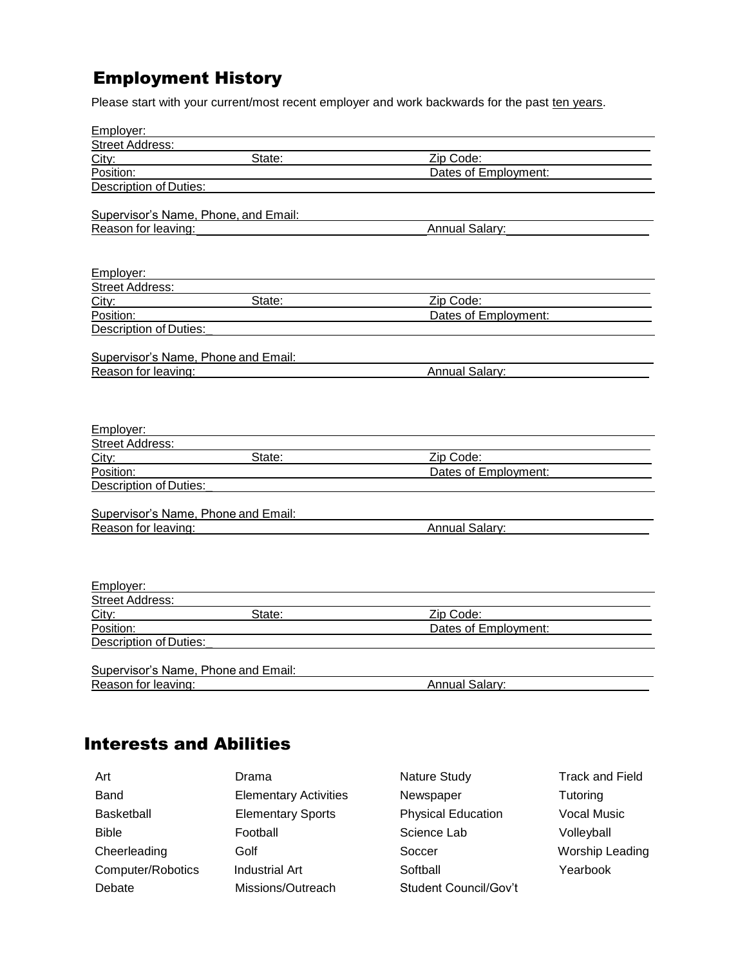# Employment History

Please start with your current/most recent employer and work backwards for the past ten years.

| Employer:                            |                      |  |
|--------------------------------------|----------------------|--|
| <b>Street Address:</b>               |                      |  |
| State:<br>City:                      | Zip Code:            |  |
| Position:                            | Dates of Employment: |  |
| <b>Description of Duties:</b>        |                      |  |
|                                      |                      |  |
| Supervisor's Name, Phone, and Email: |                      |  |
| Reason for leaving:                  | Annual Salary:       |  |
|                                      |                      |  |
|                                      |                      |  |
| Employer:                            |                      |  |
| <b>Street Address:</b>               |                      |  |
| State:<br>City:                      | Zip Code:            |  |
| Position:                            | Dates of Employment: |  |
| <b>Description of Duties:</b>        |                      |  |
|                                      |                      |  |
| Supervisor's Name, Phone and Email:  |                      |  |
| Reason for leaving:                  | Annual Salary:       |  |
|                                      |                      |  |
|                                      |                      |  |
|                                      |                      |  |
| Employer:                            |                      |  |
| <b>Street Address:</b>               |                      |  |
| State:<br>City:                      | Zip Code:            |  |
| Position:                            | Dates of Employment: |  |
| Description of Duties:               |                      |  |
|                                      |                      |  |
| Supervisor's Name, Phone and Email:  |                      |  |
| Reason for leaving:                  | Annual Salary:       |  |
|                                      |                      |  |
|                                      |                      |  |
|                                      |                      |  |
| Employer:                            |                      |  |
| Street Address:                      |                      |  |
| State:<br>City:                      | Zip Code:            |  |
| Position:                            | Dates of Employment: |  |
| Description of Duties:               |                      |  |
|                                      |                      |  |
| Supervisor's Name, Phone and Email:  |                      |  |
| Reason for leaving:                  | Annual Salary:       |  |
|                                      |                      |  |

## Interests and Abilities

| Art               | Drama                        | Nature Study              | <b>Track and Field</b> |
|-------------------|------------------------------|---------------------------|------------------------|
| Band              | <b>Elementary Activities</b> | Newspaper                 | Tutoring               |
| <b>Basketball</b> | <b>Elementary Sports</b>     | <b>Physical Education</b> | <b>Vocal Music</b>     |
| <b>Bible</b>      | Football                     | Science Lab               | Volleyball             |
| Cheerleading      | Golf                         | Soccer                    | Worship Leading        |
| Computer/Robotics | <b>Industrial Art</b>        | Softball                  | Yearbook               |
| Debate            | Missions/Outreach            | Student Council/Gov't     |                        |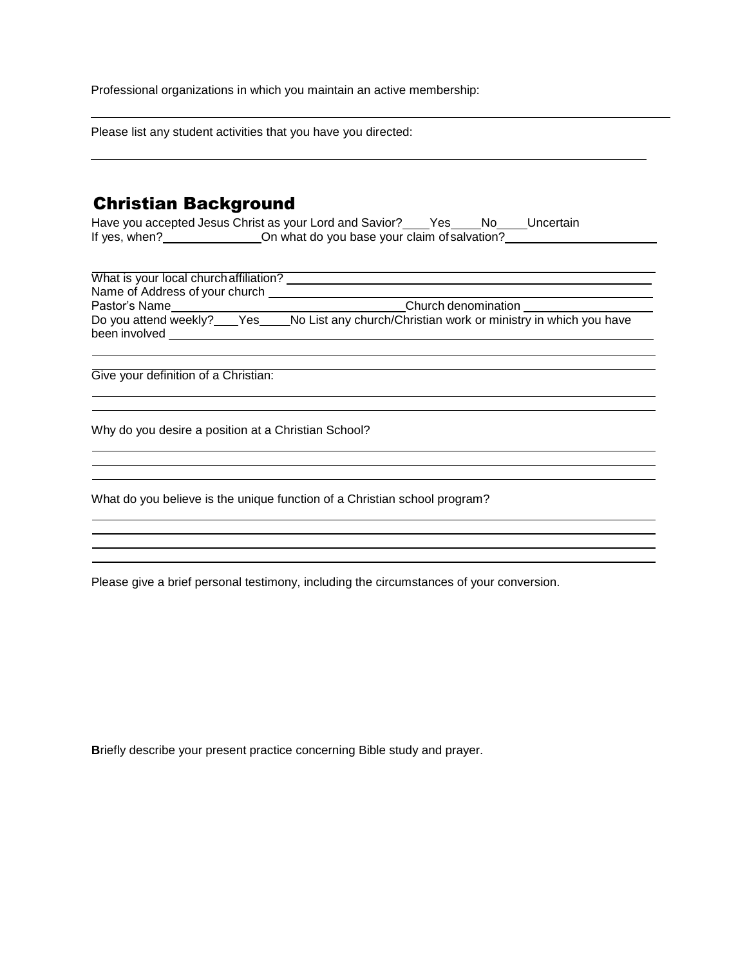Professional organizations in which you maintain an active membership:

Please list any student activities that you have you directed:

#### Christian Background

| Have you accepted Jesus Christ as your Lord and Savior? |                                              | Yes | No. | Uncertain |
|---------------------------------------------------------|----------------------------------------------|-----|-----|-----------|
| If yes, when?                                           | On what do you base your claim of salvation? |     |     |           |

| What is your local church affiliation?<br>Name of Address of your church |                                                                 |
|--------------------------------------------------------------------------|-----------------------------------------------------------------|
| Pastor's Name                                                            | Church denomination                                             |
| Do you attend weekly?<br>Yes<br>been involved                            | No List any church/Christian work or ministry in which you have |

<u> 1989 - Johann Stoff, Amerikaansk politiker († 1908)</u> 

<u> 1980 - Johann Barbara, martxa alemaniar a</u>

Give your definition of a Christian:

Why do you desire a position at a Christian School?

What do you believe is the unique function of a Christian school program?

Please give a brief personal testimony, including the circumstances of your conversion.

**B**riefly describe your present practice concerning Bible study and prayer.